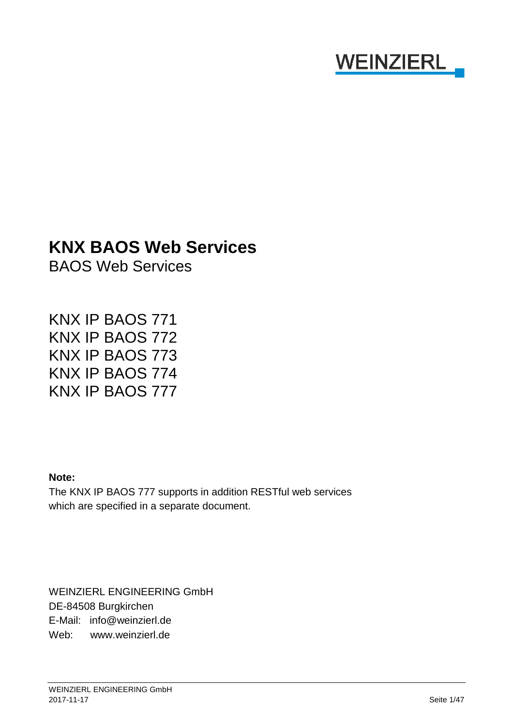# **WEINZIERL**

# **KNX BAOS Web Services**

BAOS Web Services

KNX IP BAOS 771 KNX IP BAOS 772 KNX IP BAOS 773 KNX IP BAOS 774 KNX IP BAOS 777

#### **Note:**

The KNX IP BAOS 777 supports in addition RESTful web services which are specified in a separate document.

WEINZIERL ENGINEERING GmbH DE-84508 Burgkirchen E-Mail: info@weinzierl.de Web: www.weinzierl.de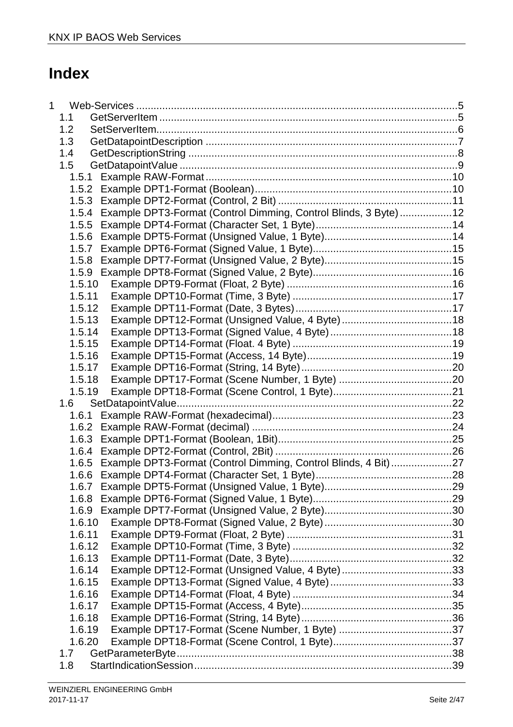# **Index**

| $\mathbf 1$ |                                                                        |  |
|-------------|------------------------------------------------------------------------|--|
|             | 1.1                                                                    |  |
|             | 1.2                                                                    |  |
|             | 1.3                                                                    |  |
|             | 1.4                                                                    |  |
|             | 1.5                                                                    |  |
|             |                                                                        |  |
|             |                                                                        |  |
|             |                                                                        |  |
|             | 1.5.4 Example DPT3-Format (Control Dimming, Control Blinds, 3 Byte) 12 |  |
|             | 1.5.5                                                                  |  |
|             |                                                                        |  |
|             | 1.5.7                                                                  |  |
|             | 1.5.8                                                                  |  |
|             |                                                                        |  |
|             | 1.5.10                                                                 |  |
|             | 1.5.11                                                                 |  |
|             | 1.5.12                                                                 |  |
|             | 1.5.13                                                                 |  |
|             | 1.5.14                                                                 |  |
|             | 1.5.15                                                                 |  |
|             | 1.5.16                                                                 |  |
|             | 1.5.17                                                                 |  |
|             | 1.5.18                                                                 |  |
|             | 1.5.19                                                                 |  |
|             | 1.6                                                                    |  |
|             |                                                                        |  |
|             |                                                                        |  |
|             |                                                                        |  |
|             |                                                                        |  |
|             | 1.6.5 Example DPT3-Format (Control Dimming, Control Blinds, 4 Bit)27   |  |
|             |                                                                        |  |
|             |                                                                        |  |
|             | 1.6.8                                                                  |  |
|             | 1.6.9                                                                  |  |
|             | 1.6.10                                                                 |  |
|             | 1.6.11                                                                 |  |
|             | 1.6.12                                                                 |  |
|             | 1.6.13                                                                 |  |
|             | 1.6.14                                                                 |  |
|             | 1.6.15                                                                 |  |
|             | 1.6.16                                                                 |  |
|             | 1.6.17                                                                 |  |
|             | 1.6.18                                                                 |  |
|             | 1.6.19                                                                 |  |
|             | 1.6.20<br>1.7                                                          |  |
|             | 1.8                                                                    |  |
|             |                                                                        |  |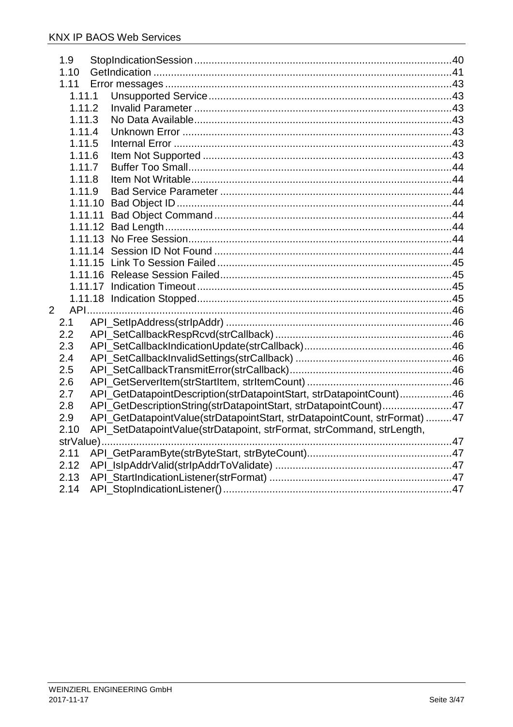| 1.9    |                                                                           |  |
|--------|---------------------------------------------------------------------------|--|
| 1.10   |                                                                           |  |
| 1.11   |                                                                           |  |
| 1.11.1 |                                                                           |  |
|        | 1.11.2                                                                    |  |
| 1.11.3 |                                                                           |  |
| 1.11.4 |                                                                           |  |
| 1.11.5 |                                                                           |  |
| 1.11.6 |                                                                           |  |
| 1.11.7 |                                                                           |  |
| 1.11.8 |                                                                           |  |
| 1.11.9 |                                                                           |  |
|        | 1.11.10                                                                   |  |
|        | 1.11.11                                                                   |  |
|        |                                                                           |  |
|        |                                                                           |  |
|        |                                                                           |  |
|        |                                                                           |  |
|        |                                                                           |  |
|        |                                                                           |  |
|        |                                                                           |  |
| 2      |                                                                           |  |
| 2.1    |                                                                           |  |
| 2.2    |                                                                           |  |
| 2.3    |                                                                           |  |
| 2.4    |                                                                           |  |
| 2.5    |                                                                           |  |
| 2.6    |                                                                           |  |
| 2.7    | API_GetDatapointDescription(strDatapointStart, strDatapointCount)46       |  |
| 2.8    | API_GetDescriptionString(strDatapointStart, strDatapointCount)47          |  |
| 2.9    | API_GetDatapointValue(strDatapointStart, strDatapointCount, strFormat) 47 |  |
| 2.10   | API_SetDatapointValue(strDatapoint, strFormat, strCommand, strLength,     |  |
|        |                                                                           |  |
| 2.11   |                                                                           |  |
| 2.12   |                                                                           |  |
| 2.13   |                                                                           |  |
| 2.14   |                                                                           |  |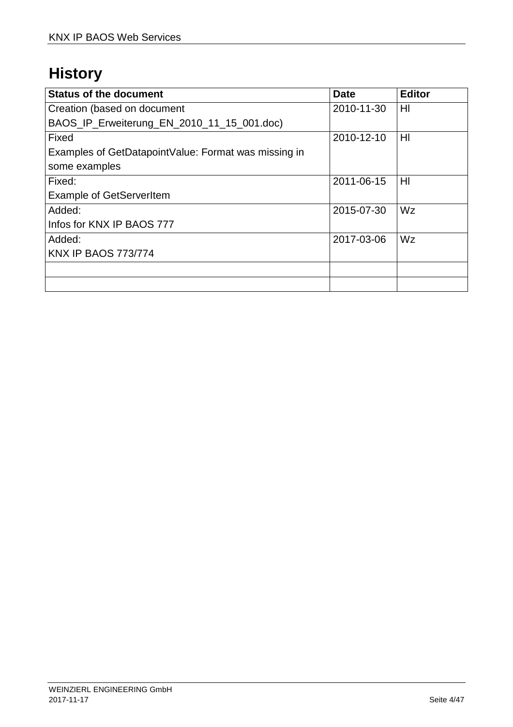# **History**

| <b>Status of the document</b>                        | <b>Date</b> | <b>Editor</b>  |
|------------------------------------------------------|-------------|----------------|
| Creation (based on document                          | 2010-11-30  | HI             |
| BAOS_IP_Erweiterung_EN_2010_11_15_001.doc)           |             |                |
| Fixed                                                | 2010-12-10  | H <sub>l</sub> |
| Examples of GetDatapointValue: Format was missing in |             |                |
| some examples                                        |             |                |
| Fixed:                                               | 2011-06-15  | HI             |
| <b>Example of GetServerItem</b>                      |             |                |
| Added:                                               | 2015-07-30  | Wz             |
| Infos for KNX IP BAOS 777                            |             |                |
| Added:                                               | 2017-03-06  | Wz             |
| <b>KNX IP BAOS 773/774</b>                           |             |                |
|                                                      |             |                |
|                                                      |             |                |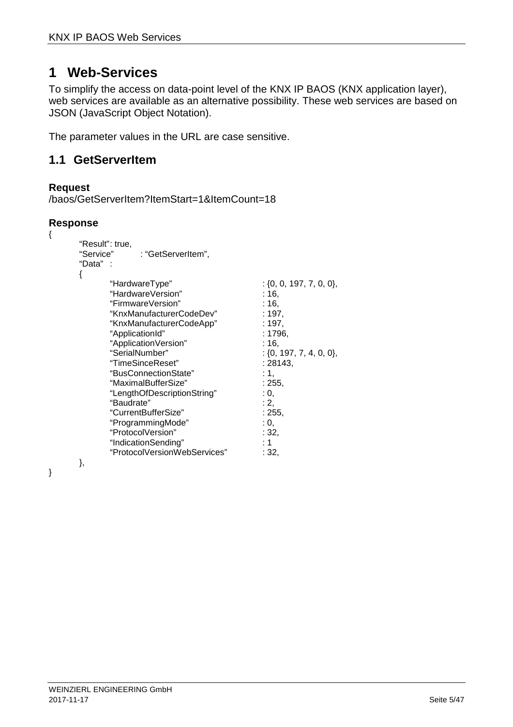# **1 Web-Services**

To simplify the access on data-point level of the KNX IP BAOS (KNX application layer), web services are available as an alternative possibility. These web services are based on JSON (JavaScript Object Notation).

The parameter values in the URL are case sensitive.

# **1.1 GetServerItem**

### **Request**

```
/baos/GetServerItem?ItemStart=1&ItemCount=18
```
### **Response**

{

}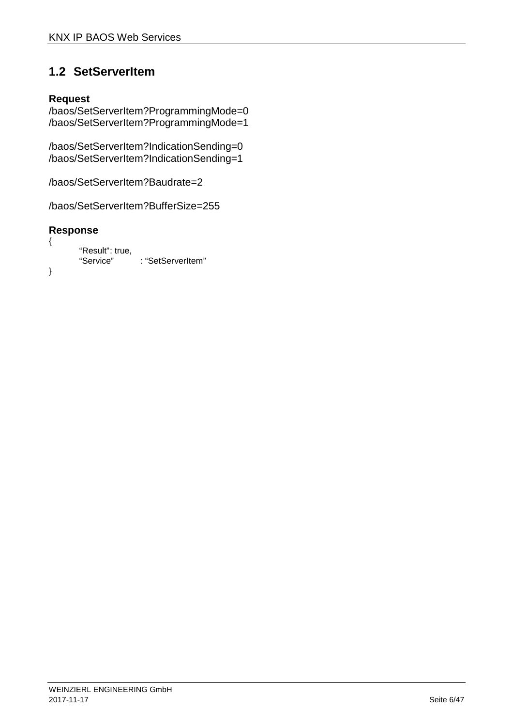# **1.2 SetServerItem**

### **Request**

/baos/SetServerItem?ProgrammingMode=0 /baos/SetServerItem?ProgrammingMode=1

/baos/SetServerItem?IndicationSending=0 /baos/SetServerItem?IndicationSending=1

/baos/SetServerItem?Baudrate=2

/baos/SetServerItem?BufferSize=255

```
{ 
           "Result": true,<br>"Service"
                              : "SetServerItem"
}
```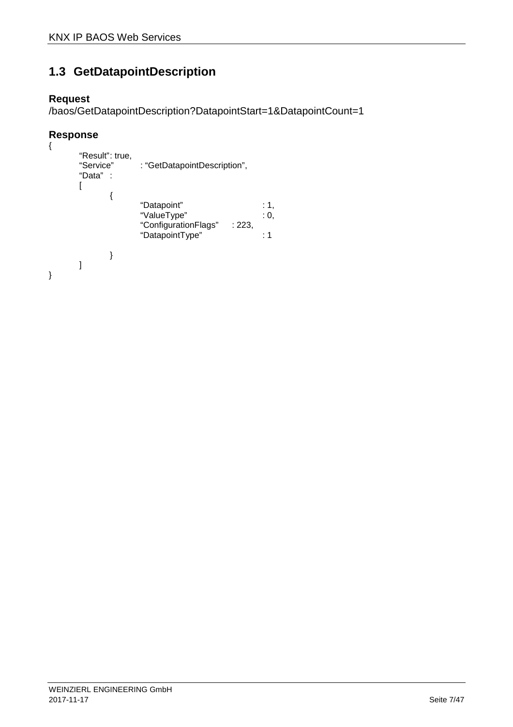# **1.3 GetDatapointDescription**

### **Request**

/baos/GetDatapointDescription?DatapointStart=1&DatapointCount=1

```
{ 
                       "Result": true,<br>"Service"
                                                                      : "GetDatapointDescription",
                       "Data" : 
                       \lceil{ 
                                                                       "Datapoint" : 1, 
                                                                      "ValueType" : 0,<br>"ConfigurationFlags" : 223.
                                                                      "ConfigurationFlags"
                                                                      "DatapointType" : 1 
                                               } 
                       \begin{array}{c} \rule{0pt}{2.5ex} \rule{0pt}{2.5ex} \rule{0pt}{2.5ex} \rule{0pt}{2.5ex} \rule{0pt}{2.5ex} \rule{0pt}{2.5ex} \rule{0pt}{2.5ex} \rule{0pt}{2.5ex} \rule{0pt}{2.5ex} \rule{0pt}{2.5ex} \rule{0pt}{2.5ex} \rule{0pt}{2.5ex} \rule{0pt}{2.5ex} \rule{0pt}{2.5ex} \rule{0pt}{2.5ex} \rule{0pt}{2.5ex} \rule{0pt}{2.5ex} \rule{0pt}{2.5ex} \rule{0pt}{2.5ex} \rule{0}
```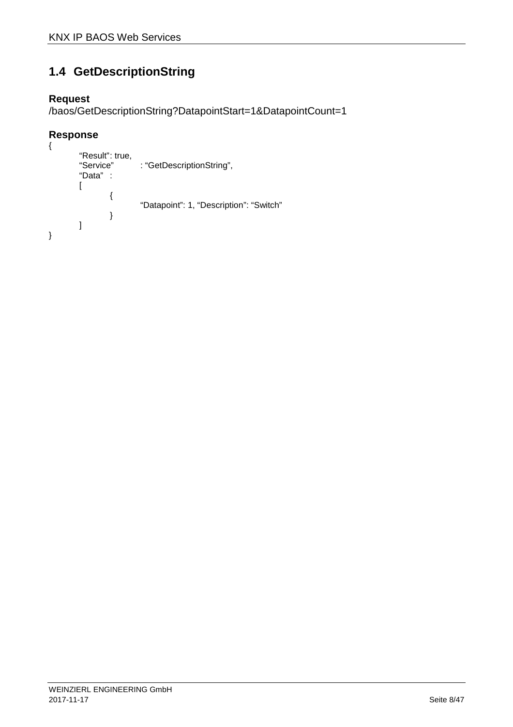# **1.4 GetDescriptionString**

### **Request**

/baos/GetDescriptionString?DatapointStart=1&DatapointCount=1

```
{ 
          "Result": true,<br>"Service"
                              : "GetDescriptionString",
          "Data" : 
          \lceil{ 
                                "Datapoint": 1, "Description": "Switch" 
                     } 
          ] 
}
```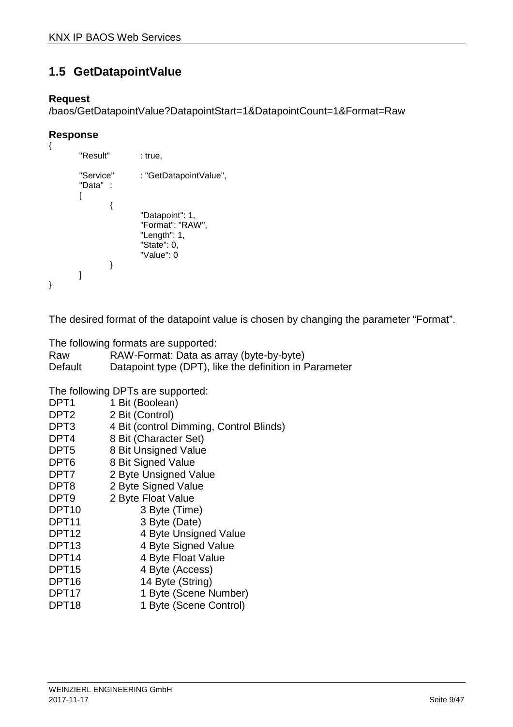# **1.5 GetDatapointValue**

### **Request**

/baos/GetDatapointValue?DatapointStart=1&DatapointCount=1&Format=Raw

### **Response**

```
{ 
        "Result" : true,
        "Service" : "GetDatapointValue",
        "Data" : 
        \sqrt{2}{ 
                           "Datapoint": 1, 
                          "Format": "RAW", 
                          "Length": 1, 
                          "State": 0, 
                          "Value": 0 
                 } 
        ] 
}
```
The desired format of the datapoint value is chosen by changing the parameter "Format".

The following formats are supported:

| Raw     | RAW-Format: Data as array (byte-by-byte)               |
|---------|--------------------------------------------------------|
| Default | Datapoint type (DPT), like the definition in Parameter |

The following DPTs are supported:

| DPT <sub>1</sub>  | 1 Bit (Boolean)                         |
|-------------------|-----------------------------------------|
| DPT2              | 2 Bit (Control)                         |
| DPT3              | 4 Bit (control Dimming, Control Blinds) |
| DPT4              | 8 Bit (Character Set)                   |
| DPT <sub>5</sub>  | 8 Bit Unsigned Value                    |
| DPT6              | 8 Bit Signed Value                      |
| DPT7              | 2 Byte Unsigned Value                   |
| DPT8              | 2 Byte Signed Value                     |
| DPT9              | 2 Byte Float Value                      |
| DPT <sub>10</sub> | 3 Byte (Time)                           |
| DPT11             | 3 Byte (Date)                           |
| DPT <sub>12</sub> | 4 Byte Unsigned Value                   |
| DPT <sub>13</sub> | 4 Byte Signed Value                     |
| DPT14             | 4 Byte Float Value                      |
| DPT <sub>15</sub> | 4 Byte (Access)                         |
| DPT <sub>16</sub> | 14 Byte (String)                        |
| DPT <sub>17</sub> | 1 Byte (Scene Number)                   |
| DPT <sub>18</sub> | 1 Byte (Scene Control)                  |
|                   |                                         |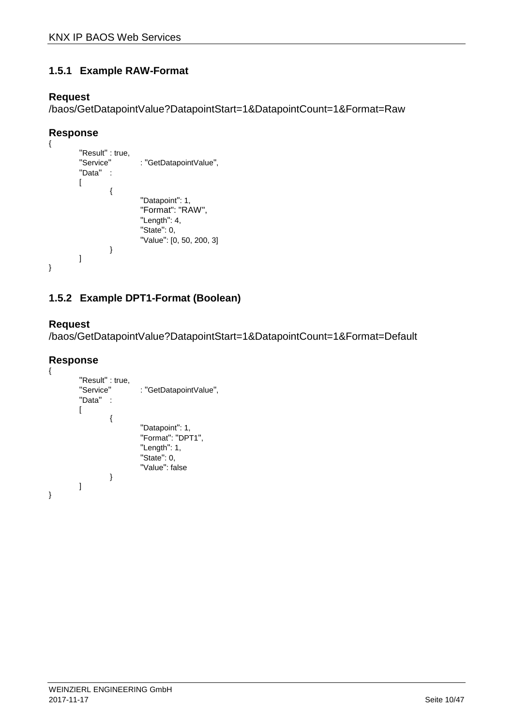### **1.5.1 Example RAW-Format**

### **Request**

/baos/GetDatapointValue?DatapointStart=1&DatapointCount=1&Format=Raw

### **Response**

```
{ 
          "Result" : true, 
          "Service" : "GetDatapointValue",
          "Data" : 
          \overline{[}{ 
                               "Datapoint": 1, 
                               "Format": "RAW", 
                              "Length": 4, 
                              "State": 0, 
                              "Value": [0, 50, 200, 3] 
                    } 
          ] 
}
```
# **1.5.2 Example DPT1-Format (Boolean)**

### **Request**

/baos/GetDatapointValue?DatapointStart=1&DatapointCount=1&Format=Default

```
{ 
         "Result" : true, 
         "Service" : "GetDatapointValue",
         "Data" : 
         \Gamma{ 
                             "Datapoint": 1, 
                             "Format": "DPT1", 
                             "Length": 1, 
                             "State": 0, 
                             "Value": false 
                   } 
         ] 
}
```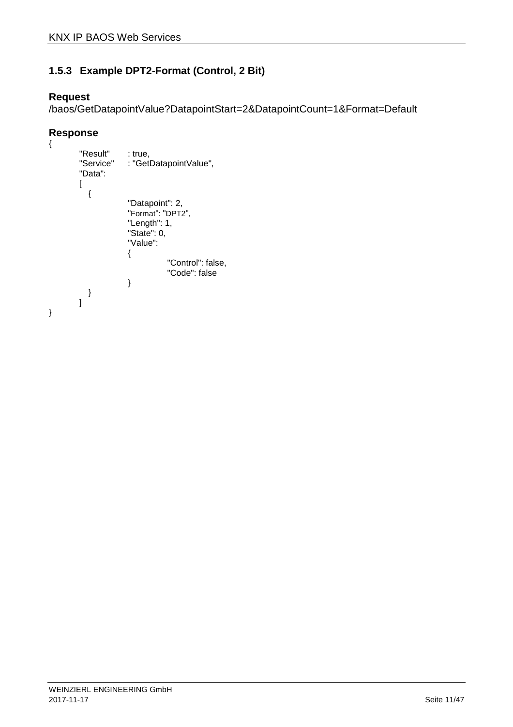### **1.5.3 Example DPT2-Format (Control, 2 Bit)**

### **Request**

/baos/GetDatapointValue?DatapointStart=2&DatapointCount=1&Format=Default

```
{ 
         "Result" : true,<br>"Service" : "Getl
                        : "GetDatapointValue",
         "Data": 
         \overline{[}{ 
                          "Datapoint": 2, 
              "Format": "DPT2",
              "Length": 1, 
                          "State": 0, 
                          "Value": 
                          { 
                                      "Control": false, 
                                      "Code": false 
                         } 
           } 
         ] 
}
```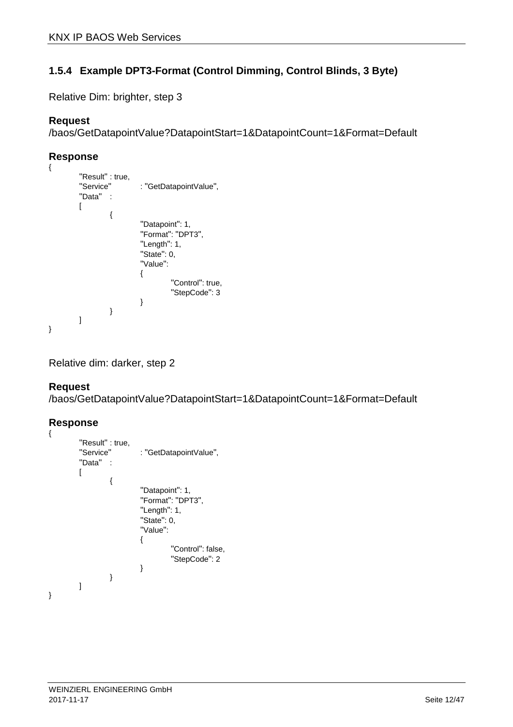### **1.5.4 Example DPT3-Format (Control Dimming, Control Blinds, 3 Byte)**

Relative Dim: brighter, step 3

### **Request**

/baos/GetDatapointValue?DatapointStart=1&DatapointCount=1&Format=Default

#### **Response**

```
{ 
        "Result" : true, 
        "Service" : "GetDatapointValue",
        "Data" : 
        \sqrt{2}{ 
                          "Datapoint": 1, 
                         "Format": "DPT3", 
                         "Length": 1, 
                         "State": 0, 
                         "Value": 
        \{ "Control": true, 
                                  "StepCode": 3 
         } 
                } 
        ] 
}
```
Relative dim: darker, step 2

#### **Request**

/baos/GetDatapointValue?DatapointStart=1&DatapointCount=1&Format=Default

```
{ 
        "Result" : true, 
        "Service" : "GetDatapointValue",
        "Data" : 
        \lceil{ 
                          "Datapoint": 1, 
                         "Format": "DPT3", 
                         "Length": 1, 
                         "State": 0, 
                         "Value": 
        \{ "Control": false, 
                                  "StepCode": 2 
         } 
                } 
        ] 
}
```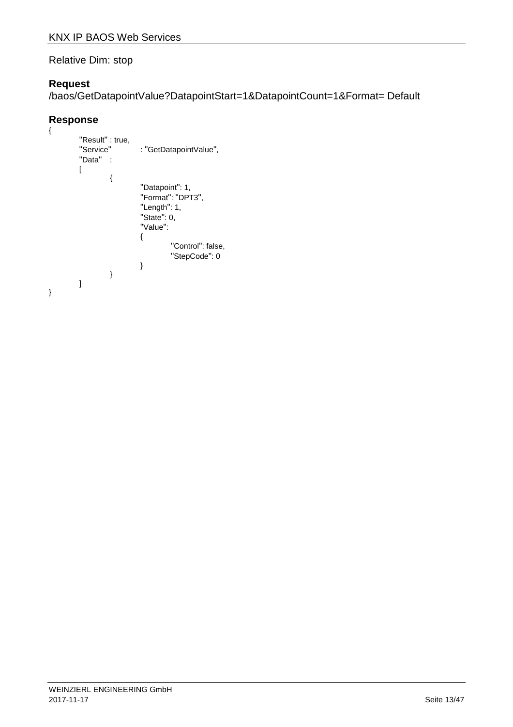#### Relative Dim: stop

### **Request**

/baos/GetDatapointValue?DatapointStart=1&DatapointCount=1&Format= Default

```
{ 
         "Result" : true,<br>"Service"
                          : "GetDatapointValue",
         "Data" : 
         \overline{[}{ 
                           "Datapoint": 1, 
                          "Format": "DPT3", 
                          "Length": 1, 
                          "State": 0, 
                          "Value": 
         \{ "Control": false, 
                           "StepCode": 0 
          } 
                 } 
        \bf{l}}
```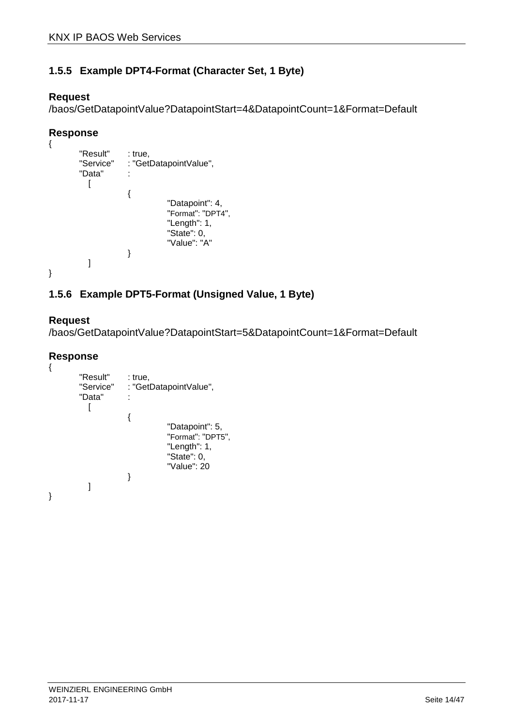### **1.5.5 Example DPT4-Format (Character Set, 1 Byte)**

### **Request**

/baos/GetDatapointValue?DatapointStart=4&DatapointCount=1&Format=Default

### **Response**

```
{ 
       "Result" : true,
       "Service" : "GetDatapointValue", 
       "Data" : 
         [ 
                  { 
                            "Datapoint": 4, 
        "Format": "DPT4",
        "Length": 1, 
                            "State": 0, 
                            "Value": "A" 
                  } 
         ] 
}
```
### **1.5.6 Example DPT5-Format (Unsigned Value, 1 Byte)**

#### **Request**

/baos/GetDatapointValue?DatapointStart=5&DatapointCount=1&Format=Default

```
{ 
         "Result" : true,<br>"Service" : "Get
                        : "GetDatapointValue",
         "Data" : 
            \sqrt{ }\{ "Datapoint": 5, 
                                      "Format": "DPT5",
                                      "Length": 1, 
                                      "State": 0, 
                                      "Value": 20 
                         } 
             ] 
}
```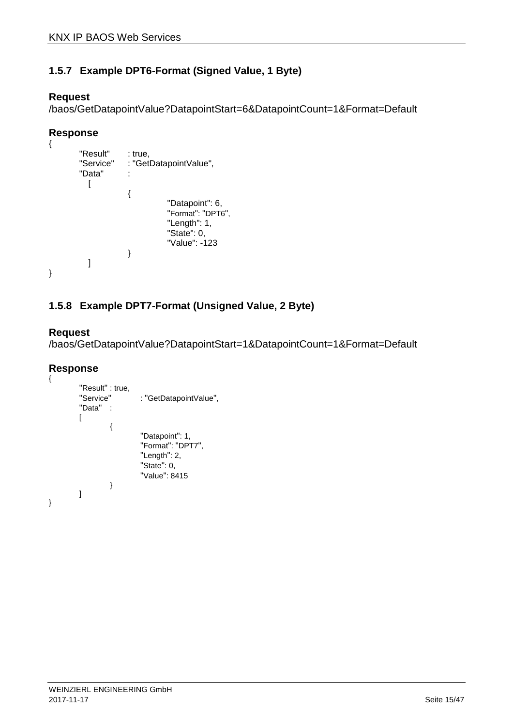### **1.5.7 Example DPT6-Format (Signed Value, 1 Byte)**

#### **Request**

/baos/GetDatapointValue?DatapointStart=6&DatapointCount=1&Format=Default

### **Response**

```
{ 
       "Result" : true,
       "Service" : "GetDatapointValue", 
       "Data" : 
        [ 
                   { 
                            "Datapoint": 6, 
          "Format": "DPT6",
          "Length": 1, 
                            "State": 0, 
                            "Value": -123 
                  } 
        ] 
}
```
### **1.5.8 Example DPT7-Format (Unsigned Value, 2 Byte)**

#### **Request**

/baos/GetDatapointValue?DatapointStart=1&DatapointCount=1&Format=Default

```
{ 
         "Result" : true, 
         "Service" : "GetDatapointValue",
         "Data" : 
         \Gamma{ 
                              "Datapoint": 1, 
                             "Format": "DPT7", 
                             "Length": 2, 
                             "State": 0, 
                             "Value": 8415 
                   } 
         ] 
}
```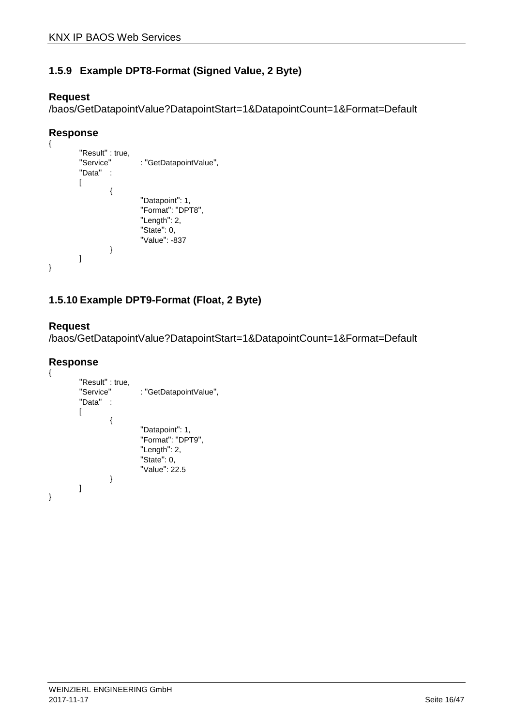### **1.5.9 Example DPT8-Format (Signed Value, 2 Byte)**

#### **Request**

/baos/GetDatapointValue?DatapointStart=1&DatapointCount=1&Format=Default

### **Response**

```
{ 
          "Result" : true, 
          "Service" : "GetDatapointValue",
          "Data" : 
          \overline{[}{ 
                               "Datapoint": 1, 
                              "Format": "DPT8", 
                              "Length": 2, 
                              "State": 0, 
                              "Value": -837 
                    } 
          ] 
}
```
### **1.5.10 Example DPT9-Format (Float, 2 Byte)**

#### **Request**

/baos/GetDatapointValue?DatapointStart=1&DatapointCount=1&Format=Default

```
{ 
           "Result" : true,<br>"Service"
                                 : "GetDatapointValue",
           "Data" : 
           \sqrt{2}{ 
                                  "Datapoint": 1, 
                                 "Format": "DPT9", 
                                 "Length": 2, 
                                 "State": 0, 
                                 "Value": 22.5 
                      } 
           ] 
}
```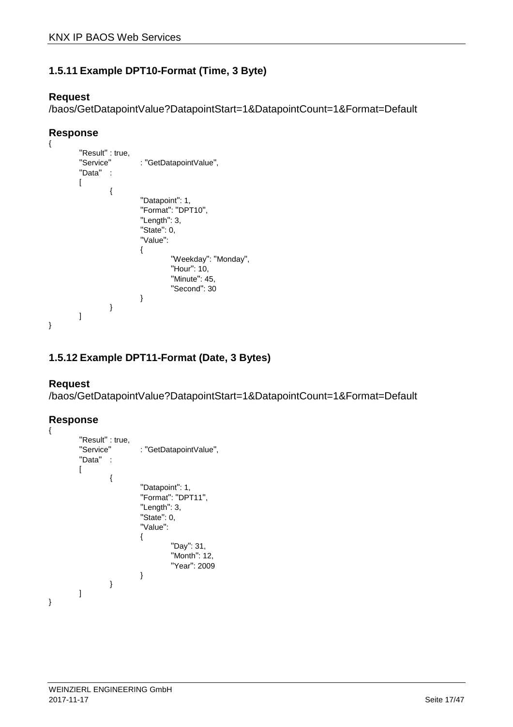### **1.5.11 Example DPT10-Format (Time, 3 Byte)**

### **Request**

/baos/GetDatapointValue?DatapointStart=1&DatapointCount=1&Format=Default

### **Response**

```
{ 
          "Result" : true, 
          "Service" : "GetDatapointValue",
          "Data" : 
         \Gamma{ 
                              "Datapoint": 1, 
                             "Format": "DPT10", 
                             "Length": 3, 
                             "State": 0, 
                             "Value": 
                             { 
                                       "Weekday": "Monday", 
                                       "Hour": 10, 
                                       "Minute": 45, 
                                       "Second": 30 
                             } 
                   } 
         ] 
}
```
### **1.5.12 Example DPT11-Format (Date, 3 Bytes)**

#### **Request**

/baos/GetDatapointValue?DatapointStart=1&DatapointCount=1&Format=Default

```
Response 
{ 
          "Result" : true,<br>"Service"
                                : "GetDatapointValue",
          "Data" : 
          \overline{[}{ 
                                 "Datapoint": 1, 
                                "Format": "DPT11", 
                                "Length": 3, 
                                "State": 0, 
                                "Value": 
                                { 
                                           "Day": 31, 
                                           "Month": 12, 
                                           "Year": 2009 
                                } 
                     } 
          ] 
}
```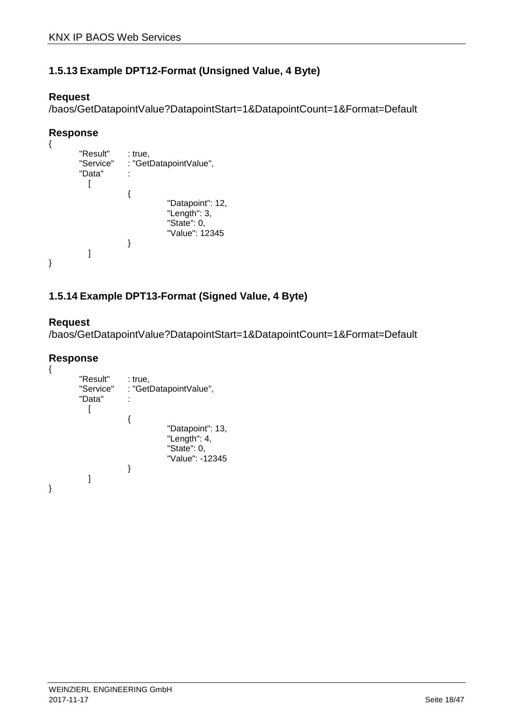### **1.5.13 Example DPT12-Format (Unsigned Value, 4 Byte)**

### **Request**

/baos/GetDatapointValue?DatapointStart=1&DatapointCount=1&Format=Default

### **Response**

```
{ 
          "Result" : true,<br>"Service" : "Get
                          : "GetDatapointValue",
          "Data" : 
             [ 
                           { 
                                         "Datapoint": 12, 
                                         "Length": 3, 
                                         "State": 0, 
                                         "Value": 12345 
                           } 
             ] 
}
```
### **1.5.14 Example DPT13-Format (Signed Value, 4 Byte)**

#### **Request**

/baos/GetDatapointValue?DatapointStart=1&DatapointCount=1&Format=Default

```
{ 
          "Result" : true,<br>"Service" : "Get
                           : "GetDatapointValue",
          "Data" : 
             \lceil { 
                                          "Datapoint": 13, 
                                          "Length": 4, 
                                          "State": 0, 
                                         "Value": -12345 
                           } 
             ] 
}
```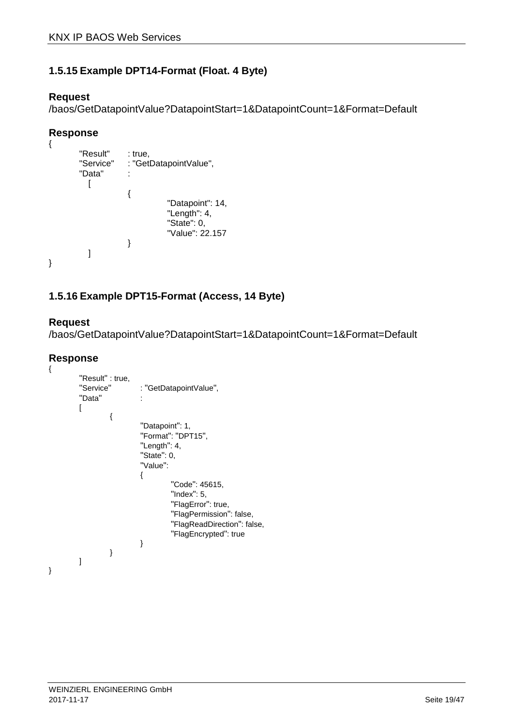### **1.5.15 Example DPT14-Format (Float. 4 Byte)**

#### **Request**

/baos/GetDatapointValue?DatapointStart=1&DatapointCount=1&Format=Default

### **Response**

```
{ 
         "Result" : true,
         "Service" : "GetDatapointValue", 
         "Data" : 
           [ 
                        { 
                                   "Datapoint": 14, 
                                   "Length": 4, 
                                   "State": 0, 
                                   "Value": 22.157 
                        } 
           ] 
}
```
### **1.5.16 Example DPT15-Format (Access, 14 Byte)**

#### **Request**

/baos/GetDatapointValue?DatapointStart=1&DatapointCount=1&Format=Default

```
{ 
        "Result" : true, 
        "Service" : "GetDatapointValue",
        "Data" : 
        \sqrt{2}{ 
                          "Datapoint": 1, 
                         "Format": "DPT15", 
                         "Length": 4, 
                         "State": 0, 
                         "Value": 
         \{ "Code": 45615, 
                                   "Index": 5, 
                                   "FlagError": true, 
                                   "FlagPermission": false, 
                                  "FlagReadDirection": false, 
                                  "FlagEncrypted": true 
          } 
                } 
        ] 
}
```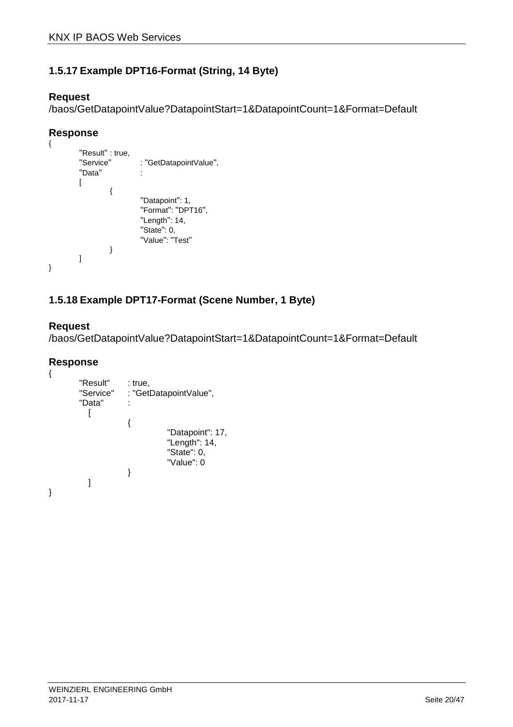### **1.5.17 Example DPT16-Format (String, 14 Byte)**

### **Request**

/baos/GetDatapointValue?DatapointStart=1&DatapointCount=1&Format=Default

### **Response**

```
{ 
         "Result" : true, 
         "Service" : "GetDatapointValue",
         "Data" : 
         \overline{[}{ 
                             "Datapoint": 1, 
                            "Format": "DPT16", 
                            "Length": 14, 
                            "State": 0, 
                            "Value": "Test"
                  } 
         ] 
}
```
### **1.5.18 Example DPT17-Format (Scene Number, 1 Byte)**

### **Request**

/baos/GetDatapointValue?DatapointStart=1&DatapointCount=1&Format=Default

```
{ 
         "Result" : true,
         "Service" : "GetDatapointValue", 
         "Data" : 
            \overline{ } { 
                                     "Datapoint": 17, 
                                     "Length": 14, 
                                     "State": 0, 
                                     "Value": 0 
                         } 
            ] 
}
```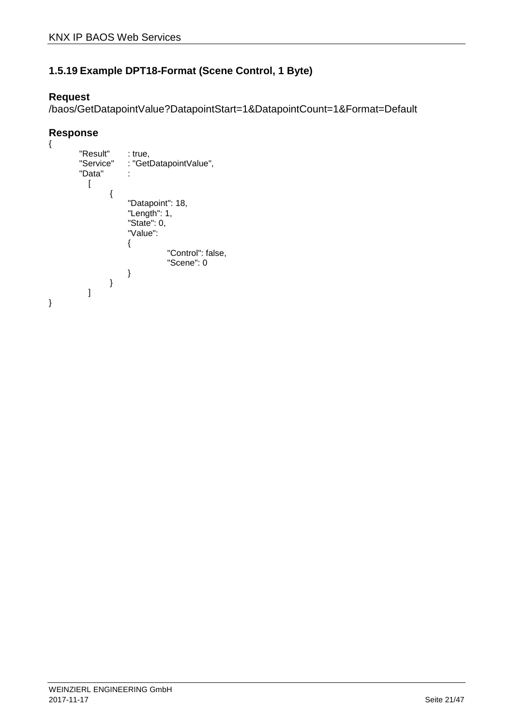### **1.5.19 Example DPT18-Format (Scene Control, 1 Byte)**

### **Request**

/baos/GetDatapointValue?DatapointStart=1&DatapointCount=1&Format=Default

```
{ 
          "Result" : true,<br>"Service" : "Getl
                         : "GetDatapointValue",
          "Data" : 
            \overline{1}{ 
                           "Datapoint": 18, 
                     "Length": 1, 
                     "State": 0, 
                           "Value": 
                           { 
                                        "Control": false, 
                                        "Scene": 0 
                          } 
                   } 
            ] 
}
```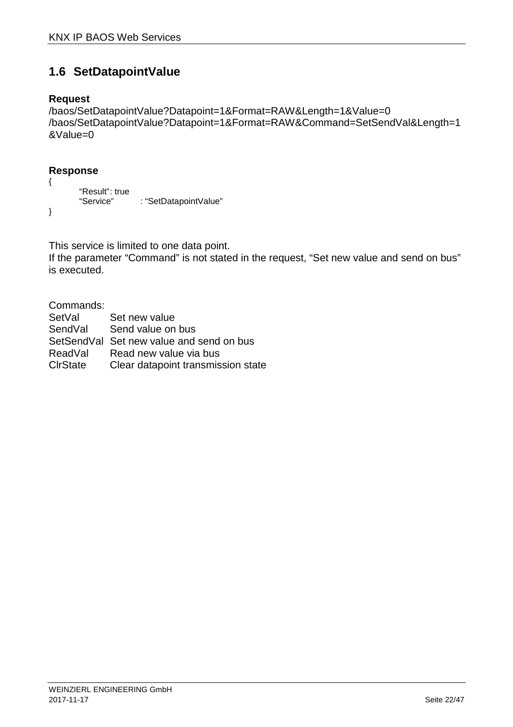# **1.6 SetDatapointValue**

### **Request**

```
/baos/SetDatapointValue?Datapoint=1&Format=RAW&Length=1&Value=0 
/baos/SetDatapointValue?Datapoint=1&Format=RAW&Command=SetSendVal&Length=1
&Value=0
```
### **Response**

```
{ 
       "Result": true
       "Service" : "SetDatapointValue"
}
```
This service is limited to one data point.

If the parameter "Command" is not stated in the request, "Set new value and send on bus" is executed.

Commands:

| SetVal           | Set new value                            |
|------------------|------------------------------------------|
| SendVal          | Send value on bus                        |
|                  | SetSendVal Set new value and send on bus |
| ReadVal          | Read new value via bus                   |
| <b>C</b> lrState | Clear datapoint transmission state       |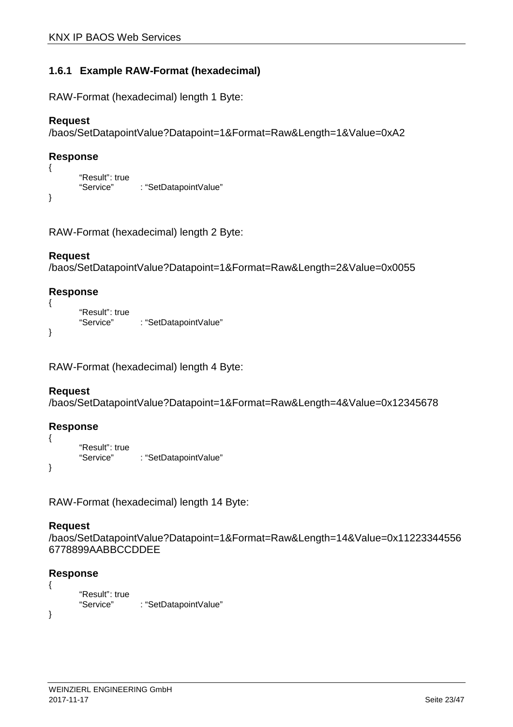### **1.6.1 Example RAW-Format (hexadecimal)**

RAW-Format (hexadecimal) length 1 Byte:

#### **Request**

```
/baos/SetDatapointValue?Datapoint=1&Format=Raw&Length=1&Value=0xA2
```
#### **Response**

{

}

```
"Result": true
"Service" : "SetDatapointValue"
```

```
RAW-Format (hexadecimal) length 2 Byte:
```
#### **Request**

```
/baos/SetDatapointValue?Datapoint=1&Format=Raw&Length=2&Value=0x0055
```
### **Response**

```
{ 
       "Result": true
       "Service" : "SetDatapointValue"
}
```
RAW-Format (hexadecimal) length 4 Byte:

#### **Request**

```
/baos/SetDatapointValue?Datapoint=1&Format=Raw&Length=4&Value=0x12345678
```
#### **Response**

```
{ 
           "Result": true<br>"Service"
                                 : "SetDatapointValue"
}
```
RAW-Format (hexadecimal) length 14 Byte:

#### **Request**

```
/baos/SetDatapointValue?Datapoint=1&Format=Raw&Length=14&Value=0x11223344556
6778899AABBCCDDEE
```

```
{ 
           "Result": true<br>"Service"
                                : "SetDatapointValue"
}
```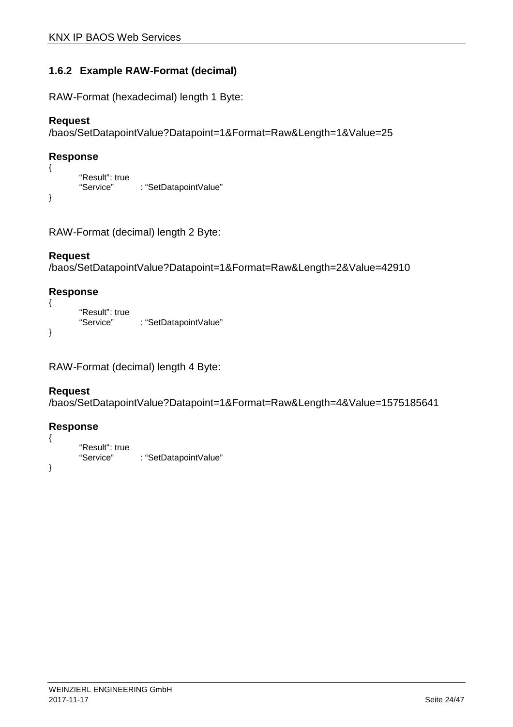### **1.6.2 Example RAW-Format (decimal)**

RAW-Format (hexadecimal) length 1 Byte:

### **Request**

```
/baos/SetDatapointValue?Datapoint=1&Format=Raw&Length=1&Value=25
```
#### **Response**

{

}

```
"Result": true<br>"Service"
                     : "SetDatapointValue"
```

```
RAW-Format (decimal) length 2 Byte:
```
### **Request**

```
/baos/SetDatapointValue?Datapoint=1&Format=Raw&Length=2&Value=42910
```
### **Response**

```
{ 
       "Result": true
       "Service" : "SetDatapointValue"
}
```

```
RAW-Format (decimal) length 4 Byte:
```
### **Request**

```
/baos/SetDatapointValue?Datapoint=1&Format=Raw&Length=4&Value=1575185641
```

```
{ 
           "Result": true<br>"Service"
                                 : "SetDatapointValue"
}
```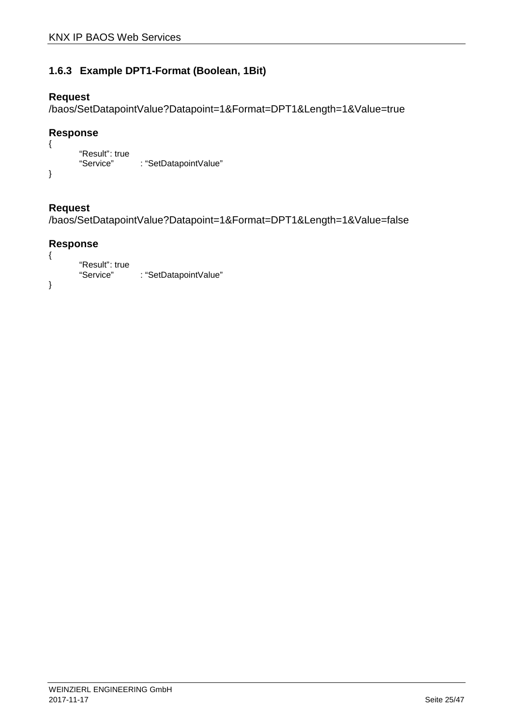### **1.6.3 Example DPT1-Format (Boolean, 1Bit)**

### **Request**

/baos/SetDatapointValue?Datapoint=1&Format=DPT1&Length=1&Value=true

### **Response**

```
{ 
       "Result": true
       "Service" : "SetDatapointValue"
}
```
### **Request**

/baos/SetDatapointValue?Datapoint=1&Format=DPT1&Length=1&Value=false

```
{ 
          "Result": true<br>"Service"
                              : "SetDatapointValue"
}
```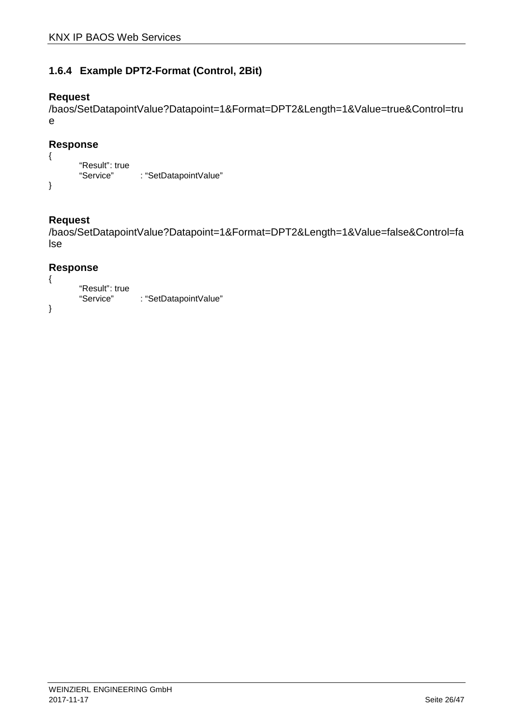### **1.6.4 Example DPT2-Format (Control, 2Bit)**

### **Request**

/baos/SetDatapointValue?Datapoint=1&Format=DPT2&Length=1&Value=true&Control=tru e

### **Response**

```
{ 
       "Result": true
       "Service" : "SetDatapointValue"
}
```
### **Request**

/baos/SetDatapointValue?Datapoint=1&Format=DPT2&Length=1&Value=false&Control=fa lse

```
{ 
          "Result": true<br>"Service"
                              : "SetDatapointValue"
}
```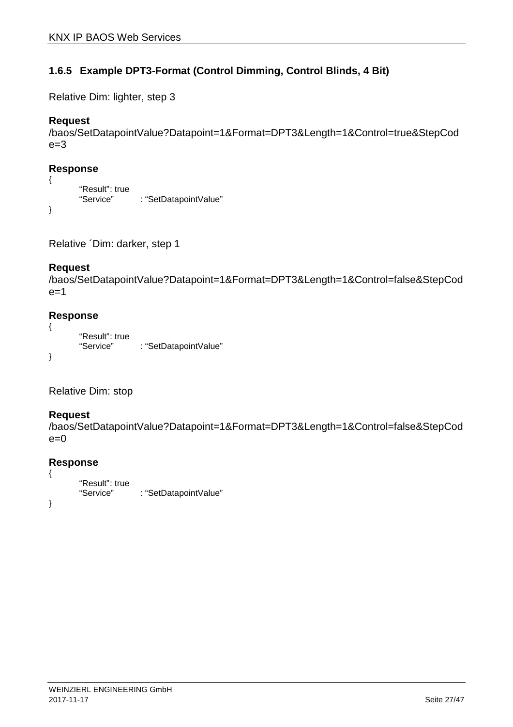### **1.6.5 Example DPT3-Format (Control Dimming, Control Blinds, 4 Bit)**

Relative Dim: lighter, step 3

#### **Request**

```
/baos/SetDatapointValue?Datapoint=1&Format=DPT3&Length=1&Control=true&StepCod
e=3
```
#### **Response**

```
{ 
       "Result": true
       "Service" : "SetDatapointValue"
}
```

```
Relative ´Dim: darker, step 1
```
#### **Request**

```
/baos/SetDatapointValue?Datapoint=1&Format=DPT3&Length=1&Control=false&StepCod
e=1
```
#### **Response**

```
{ 
       "Result": true
       "Service" : "SetDatapointValue"
}
```
Relative Dim: stop

#### **Request**

```
/baos/SetDatapointValue?Datapoint=1&Format=DPT3&Length=1&Control=false&StepCod
e=0
```

```
{ 
           "Result": true<br>"Service"
                                : "SetDatapointValue"
}
```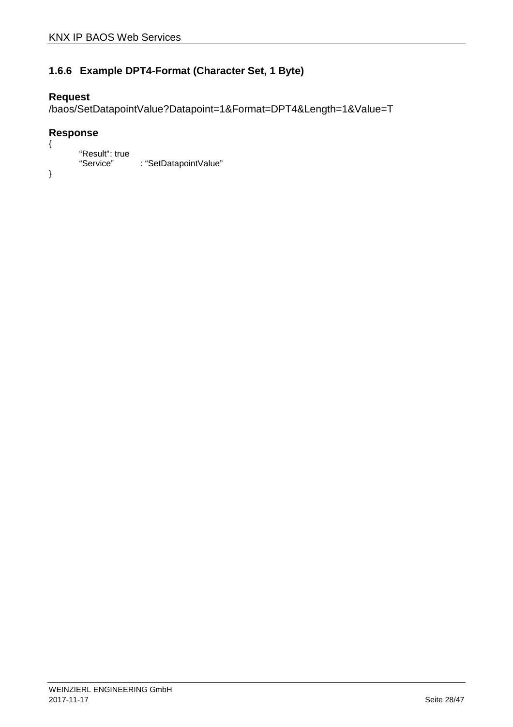### **1.6.6 Example DPT4-Format (Character Set, 1 Byte)**

### **Request**

/baos/SetDatapointValue?Datapoint=1&Format=DPT4&Length=1&Value=T

```
{ 
         "Result": true<br>"Service"
                        : "SetDatapointValue"
}
```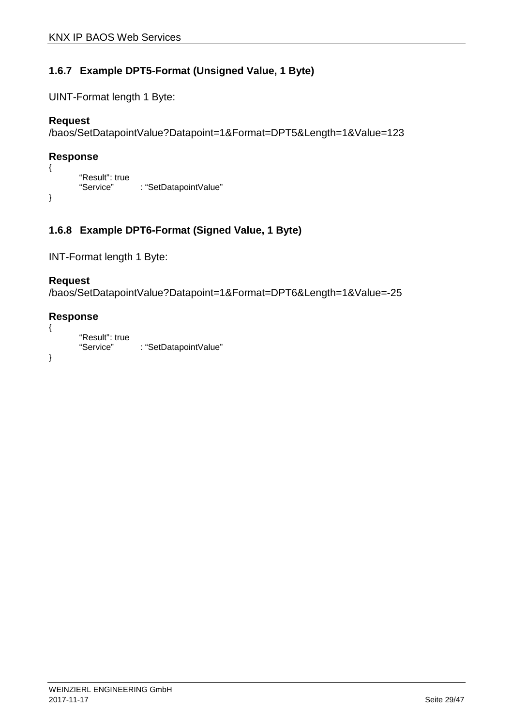### **1.6.7 Example DPT5-Format (Unsigned Value, 1 Byte)**

UINT-Format length 1 Byte:

### **Request**

```
/baos/SetDatapointValue?Datapoint=1&Format=DPT5&Length=1&Value=123
```
### **Response**

{

}

```
"Result": true<br>"Service"
                   : "SetDatapointValue"
```
### **1.6.8 Example DPT6-Format (Signed Value, 1 Byte)**

```
INT-Format length 1 Byte:
```
### **Request**

```
/baos/SetDatapointValue?Datapoint=1&Format=DPT6&Length=1&Value=-25
```

```
{ 
           "Result": true<br>"Service"
                              : "SetDatapointValue"
}
```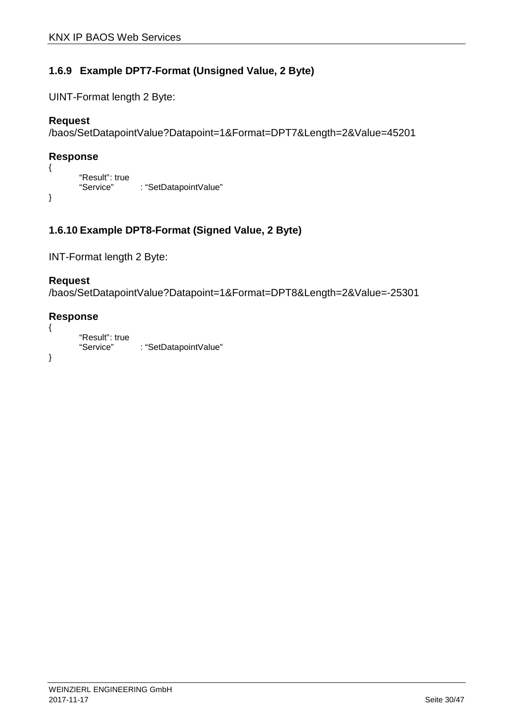### **1.6.9 Example DPT7-Format (Unsigned Value, 2 Byte)**

UINT-Format length 2 Byte:

### **Request**

```
/baos/SetDatapointValue?Datapoint=1&Format=DPT7&Length=2&Value=45201
```
### **Response**

{

}

```
"Result": true<br>"Service"
             : "SetDatapointValue"
```
### **1.6.10 Example DPT8-Format (Signed Value, 2 Byte)**

INT-Format length 2 Byte:

#### **Request**

```
/baos/SetDatapointValue?Datapoint=1&Format=DPT8&Length=2&Value=-25301
```

```
{ 
           "Result": true<br>"Service"
                              : "SetDatapointValue"
}
```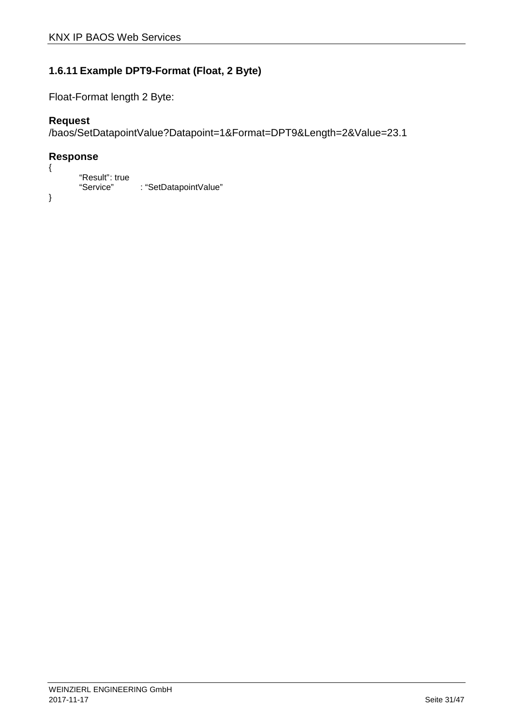### **1.6.11 Example DPT9-Format (Float, 2 Byte)**

Float-Format length 2 Byte:

### **Request**

```
/baos/SetDatapointValue?Datapoint=1&Format=DPT9&Length=2&Value=23.1
```
### **Response**

```
"Result": true<br>"Service"
                     : "SetDatapointValue"
```
}

{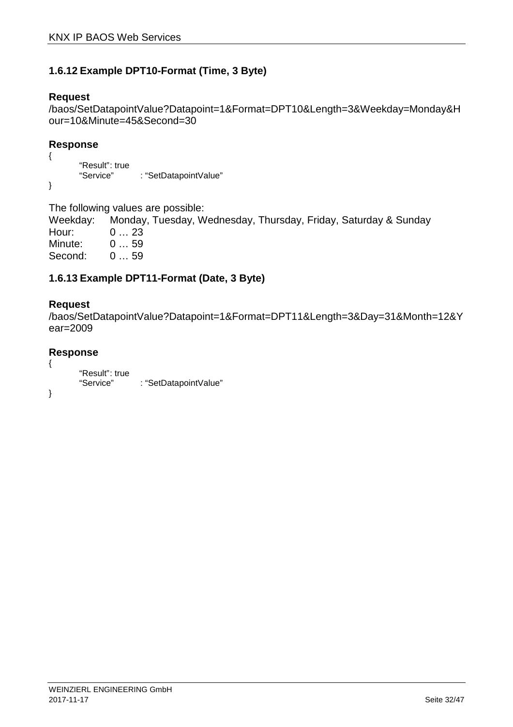### **1.6.12 Example DPT10-Format (Time, 3 Byte)**

#### **Request**

/baos/SetDatapointValue?Datapoint=1&Format=DPT10&Length=3&Weekday=Monday&H our=10&Minute=45&Second=30

### **Response**

```
{ 
           "Result": true<br>"Service"
                                : "SetDatapointValue"
}
```
The following values are possible:

Weekday: Monday, Tuesday, Wednesday, Thursday, Friday, Saturday & Sunday Hour: 0 ... 23<br>Minute: 0 ... 59 Minute: Second: 0 … 59

### **1.6.13 Example DPT11-Format (Date, 3 Byte)**

### **Request**

/baos/SetDatapointValue?Datapoint=1&Format=DPT11&Length=3&Day=31&Month=12&Y ear=2009

```
{ 
           "Result": true<br>"Service"
                                : "SetDatapointValue"
}
```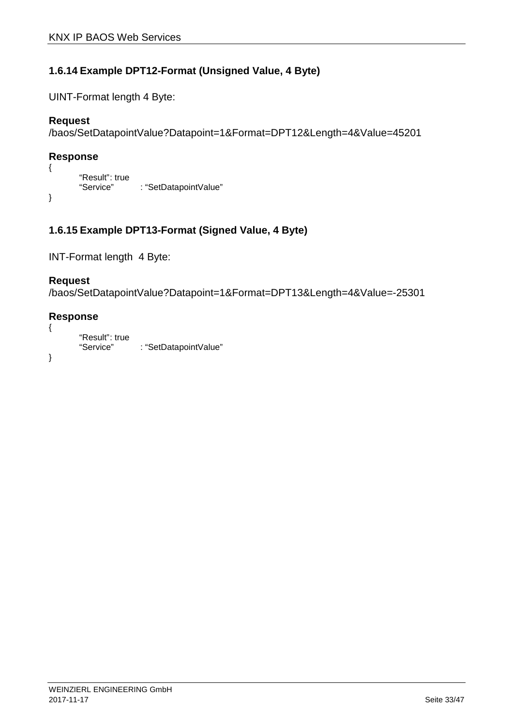### **1.6.14 Example DPT12-Format (Unsigned Value, 4 Byte)**

UINT-Format length 4 Byte:

### **Request**

```
/baos/SetDatapointValue?Datapoint=1&Format=DPT12&Length=4&Value=45201
```
### **Response**

{

}

```
"Result": true<br>"Service"
             : "SetDatapointValue"
```
### **1.6.15 Example DPT13-Format (Signed Value, 4 Byte)**

INT-Format length 4 Byte:

### **Request**

```
/baos/SetDatapointValue?Datapoint=1&Format=DPT13&Length=4&Value=-25301
```

```
{ 
           "Result": true<br>"Service"
                              : "SetDatapointValue"
}
```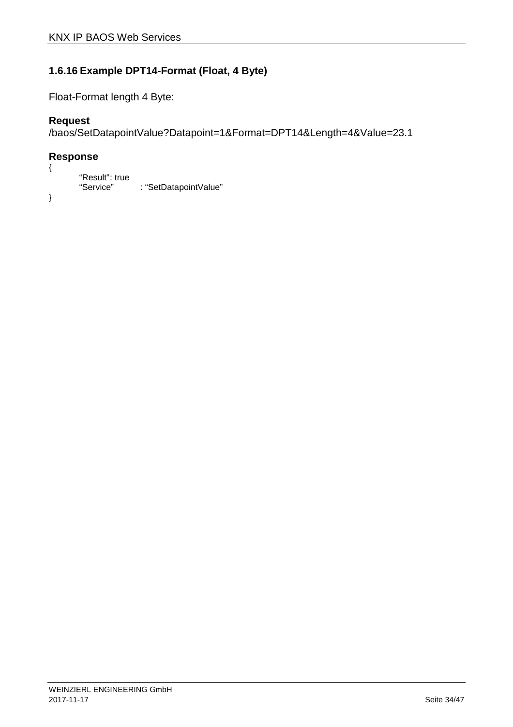### **1.6.16 Example DPT14-Format (Float, 4 Byte)**

Float-Format length 4 Byte:

### **Request**

```
/baos/SetDatapointValue?Datapoint=1&Format=DPT14&Length=4&Value=23.1
```
#### **Response**  {

```
"Result": true<br>"Service"
                     : "SetDatapointValue"
```
}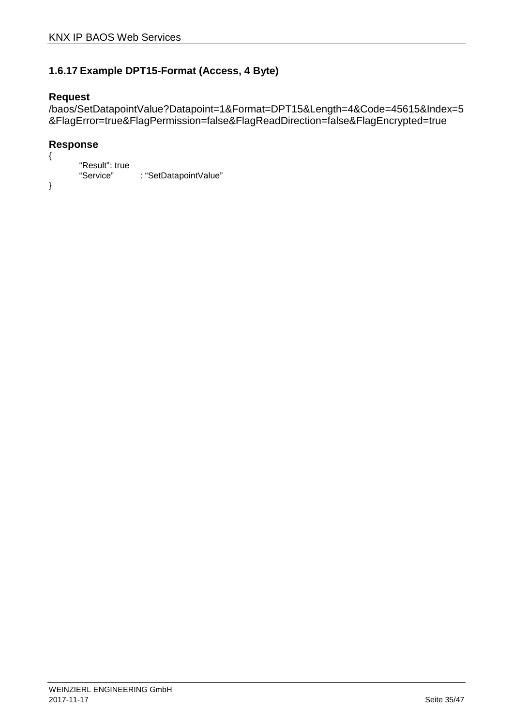### **1.6.17 Example DPT15-Format (Access, 4 Byte)**

#### **Request**

/baos/SetDatapointValue?Datapoint=1&Format=DPT15&Length=4&Code=45615&Index=5 &FlagError=true&FlagPermission=false&FlagReadDirection=false&FlagEncrypted=true

```
{ 
          "Result": true<br>"Service"
                              : "SetDatapointValue"
}
```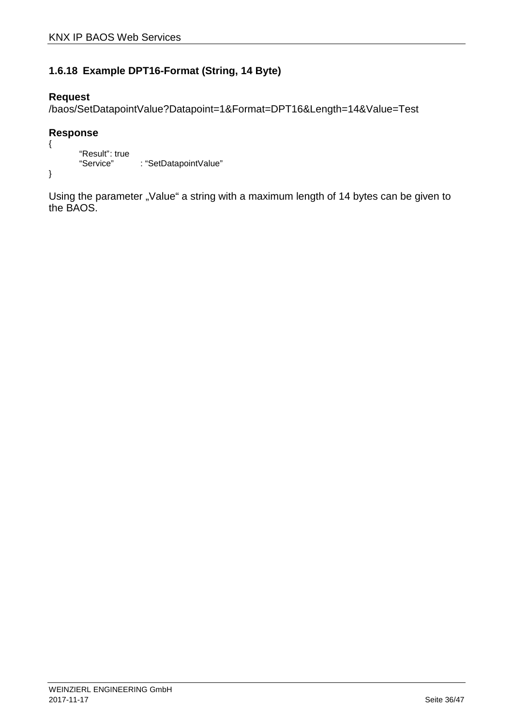### **1.6.18 Example DPT16-Format (String, 14 Byte)**

### **Request**

/baos/SetDatapointValue?Datapoint=1&Format=DPT16&Length=14&Value=Test

### **Response**

```
{ 
         "Result": true<br>"Service"
                       : "SetDatapointValue"
}
```
Using the parameter "Value" a string with a maximum length of 14 bytes can be given to the BAOS.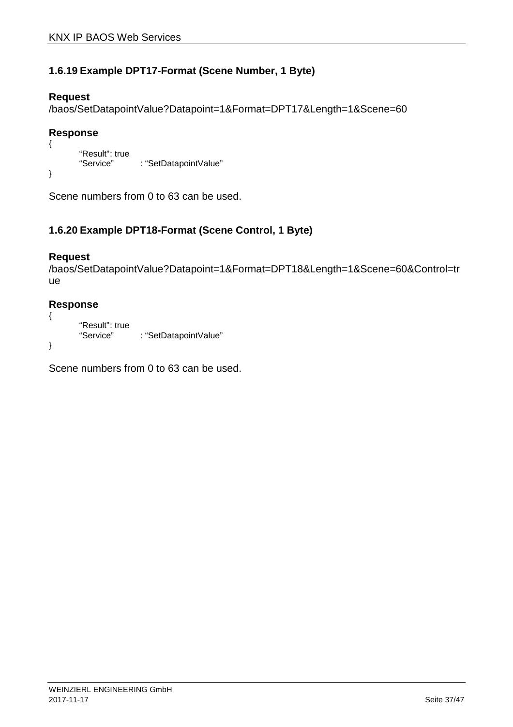### **1.6.19 Example DPT17-Format (Scene Number, 1 Byte)**

### **Request**

/baos/SetDatapointValue?Datapoint=1&Format=DPT17&Length=1&Scene=60

### **Response**

```
{ 
          "Result": true<br>"Service"
                        : "SetDatapointValue"
}
```
Scene numbers from 0 to 63 can be used.

### **1.6.20 Example DPT18-Format (Scene Control, 1 Byte)**

### **Request**

```
/baos/SetDatapointValue?Datapoint=1&Format=DPT18&Length=1&Scene=60&Control=tr
ue
```
### **Response**

```
{ 
       "Result": true
       "Service" : "SetDatapointValue"
}
```
Scene numbers from 0 to 63 can be used.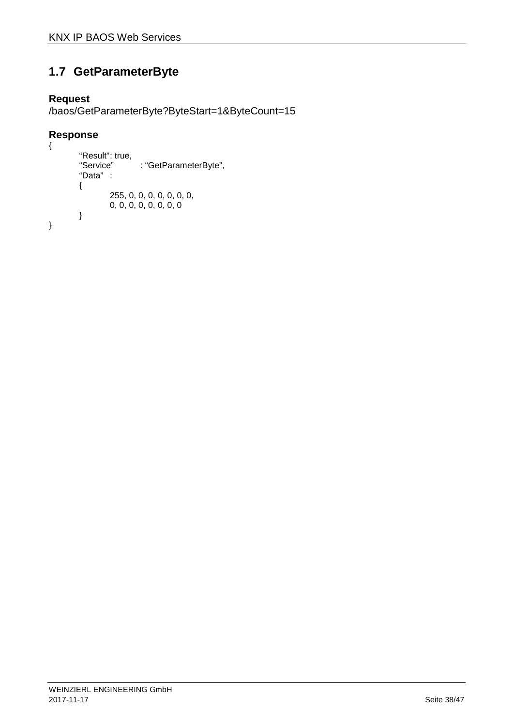# **1.7 GetParameterByte**

### **Request**

/baos/GetParameterByte?ByteStart=1&ByteCount=15

```
{ 
          "Result": true,<br>"Service"
                             : "GetParameterByte",
          "Data" : 
          { 
                    255, 0, 0, 0, 0, 0, 0, 0, 
                    0, 0, 0, 0, 0, 0, 0, 0 
          } 
}
```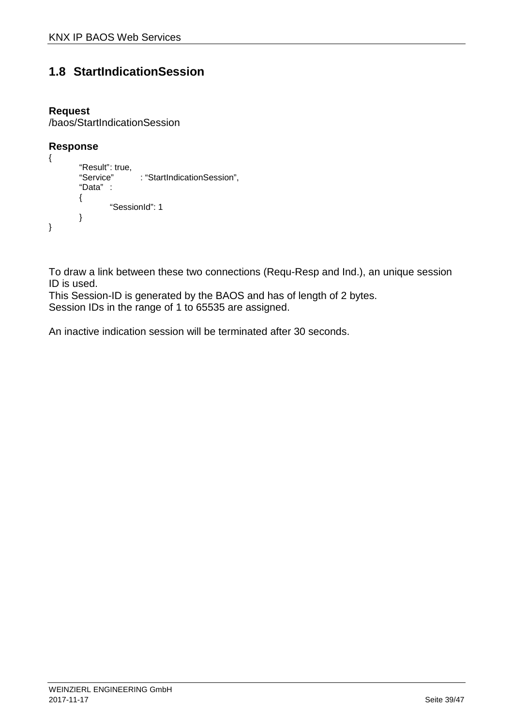# **1.8 StartIndicationSession**

### **Request**

/baos/StartIndicationSession

#### **Response**

```
{ 
        "Result": true.
        "Service" : "StartIndicationSession", 
        "Data" : 
        { 
                 "SessionId": 1 
        } 
}
```
To draw a link between these two connections (Requ-Resp and Ind.), an unique session ID is used.

This Session-ID is generated by the BAOS and has of length of 2 bytes.

Session IDs in the range of 1 to 65535 are assigned.

An inactive indication session will be terminated after 30 seconds.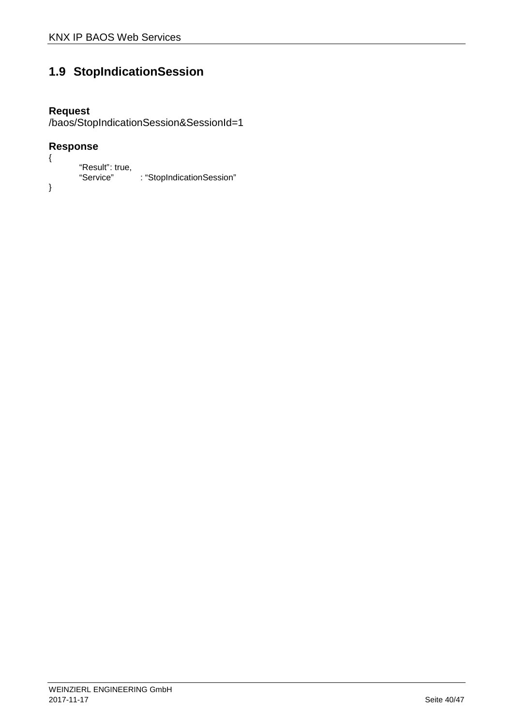# **1.9 StopIndicationSession**

# **Request**

/baos/StopIndicationSession&SessionId=1

```
{ 
          "Result": true,<br>"Service"
                              : "StopIndicationSession"
}
```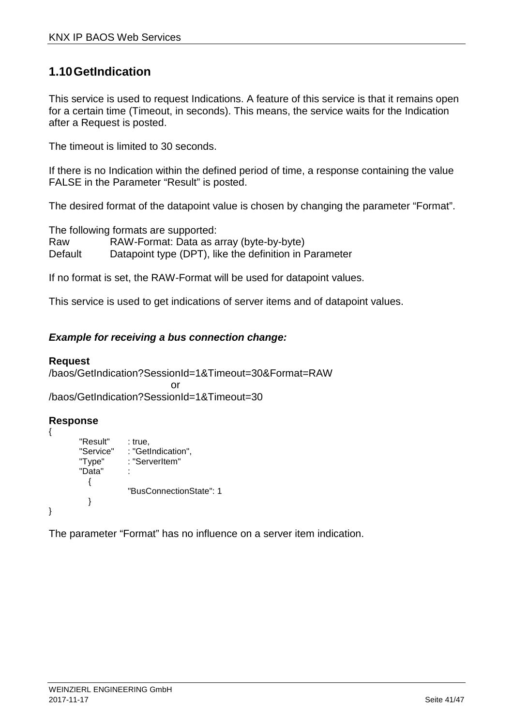# **1.10 GetIndication**

This service is used to request Indications. A feature of this service is that it remains open for a certain time (Timeout, in seconds). This means, the service waits for the Indication after a Request is posted.

The timeout is limited to 30 seconds.

If there is no Indication within the defined period of time, a response containing the value FALSE in the Parameter "Result" is posted.

The desired format of the datapoint value is chosen by changing the parameter "Format".

The following formats are supported: Raw RAW-Format: Data as array (byte-by-byte) Default Datapoint type (DPT), like the definition in Parameter

If no format is set, the RAW-Format will be used for datapoint values.

This service is used to get indications of server items and of datapoint values.

#### **Example for receiving a bus connection change:**

#### **Request**

/baos/GetIndication?SessionId=1&Timeout=30&Format=RAW or and the contract of the contract of the contract of the contract of the contract of the contract of the contract of the contract of the contract of the contract of the contract of the contract of the contract of the con /baos/GetIndication?SessionId=1&Timeout=30

#### **Response**

```
{ 
        "Result" : true.
        "Service" : "GetIndication", 
        "Type" : "ServerItem" 
        "Data"
          { 
                      "BusConnectionState": 1 
          } 
}
```
The parameter "Format" has no influence on a server item indication.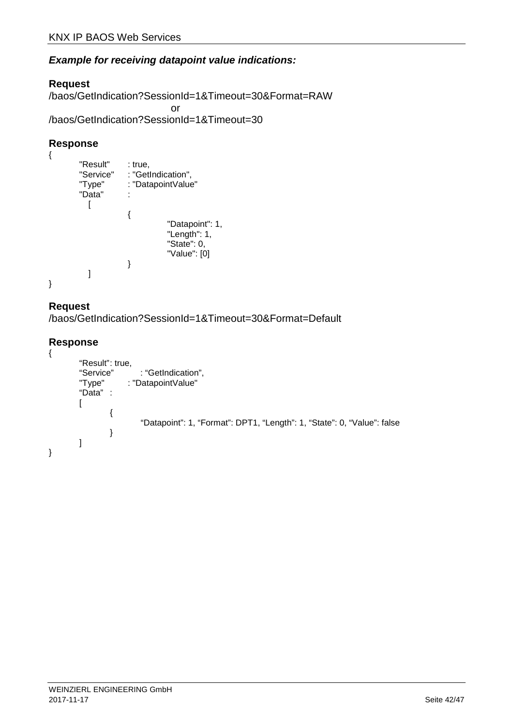### **Example for receiving datapoint value indications:**

#### **Request**

/baos/GetIndication?SessionId=1&Timeout=30&Format=RAW or /baos/GetIndication?SessionId=1&Timeout=30

#### **Response**

```
{ 
          "Result" : true,<br>"Service" : "Get
                          : "GetIndication",
          "Type" : "DatapointValue" 
          "Data" : 
             \lceil { 
                                        "Datapoint": 1, 
                                        "Length": 1, 
                                        "State": 0, 
                                        "Value": [0] 
                           } 
             ] 
}
```
#### **Request**

/baos/GetIndication?SessionId=1&Timeout=30&Format=Default

```
{ 
          "Result": true,<br>"Service"
           "Service" : "GetIndication",<br>"Type" : "DatapointValue"
                           : "DatapointValue"
           "Data" : 
          \lceil{ 
                                "Datapoint": 1, "Format": DPT1, "Length": 1, "State": 0, "Value": false 
                     } 
          ] 
}
```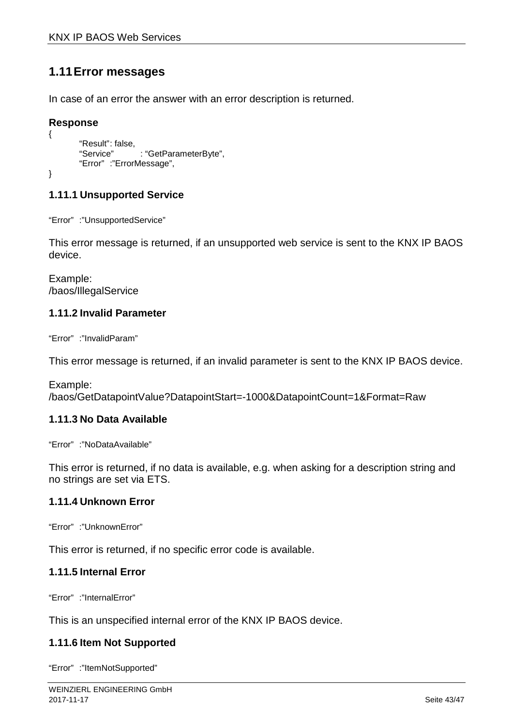# **1.11 Error messages**

In case of an error the answer with an error description is returned.

#### **Response**

```
"Result": false,
"Service" : "GetParameterByte",
"Error" :"ErrorMessage",
```
}

{

### **1.11.1 Unsupported Service**

"Error" :"UnsupportedService"

This error message is returned, if an unsupported web service is sent to the KNX IP BAOS device.

Example: /baos/IllegalService

#### **1.11.2 Invalid Parameter**

"Error" :"InvalidParam"

This error message is returned, if an invalid parameter is sent to the KNX IP BAOS device.

Example: /baos/GetDatapointValue?DatapointStart=-1000&DatapointCount=1&Format=Raw

### **1.11.3 No Data Available**

"Error" :"NoDataAvailable"

This error is returned, if no data is available, e.g. when asking for a description string and no strings are set via ETS.

#### **1.11.4 Unknown Error**

"Error" :"UnknownError"

This error is returned, if no specific error code is available.

#### **1.11.5 Internal Error**

"Error" :"InternalError"

This is an unspecified internal error of the KNX IP BAOS device.

#### **1.11.6 Item Not Supported**

"Error" :"ItemNotSupported"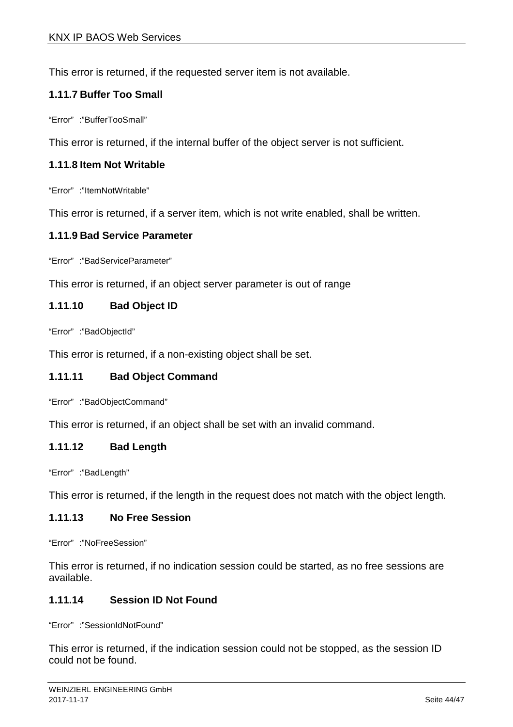This error is returned, if the requested server item is not available.

### **1.11.7 Buffer Too Small**

"Error" :"BufferTooSmall"

This error is returned, if the internal buffer of the object server is not sufficient.

### **1.11.8 Item Not Writable**

"Error" :"ItemNotWritable"

This error is returned, if a server item, which is not write enabled, shall be written.

#### **1.11.9 Bad Service Parameter**

"Error" :"BadServiceParameter"

This error is returned, if an object server parameter is out of range

### **1.11.10 Bad Object ID**

"Error" :"BadObjectId"

This error is returned, if a non-existing object shall be set.

#### **1.11.11 Bad Object Command**

"Error" :"BadObjectCommand"

This error is returned, if an object shall be set with an invalid command.

#### **1.11.12 Bad Length**

"Error" :"BadLength"

This error is returned, if the length in the request does not match with the object length.

#### **1.11.13 No Free Session**

"Error" :"NoFreeSession"

This error is returned, if no indication session could be started, as no free sessions are available.

### **1.11.14 Session ID Not Found**

"Error" :"SessionIdNotFound"

This error is returned, if the indication session could not be stopped, as the session ID could not be found.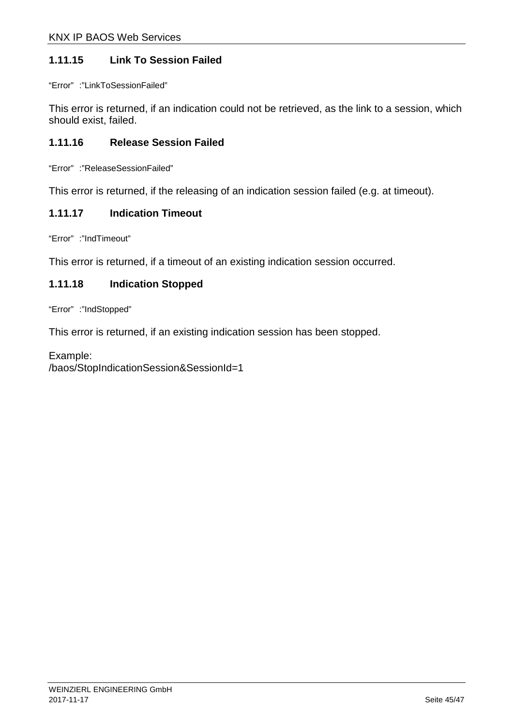### **1.11.15 Link To Session Failed**

"Error" :"LinkToSessionFailed"

This error is returned, if an indication could not be retrieved, as the link to a session, which should exist, failed.

### **1.11.16 Release Session Failed**

"Error" :"ReleaseSessionFailed"

This error is returned, if the releasing of an indication session failed (e.g. at timeout).

#### **1.11.17 Indication Timeout**

"Error" :"IndTimeout"

This error is returned, if a timeout of an existing indication session occurred.

### **1.11.18 Indication Stopped**

"Error" :"IndStopped"

This error is returned, if an existing indication session has been stopped.

Example: /baos/StopIndicationSession&SessionId=1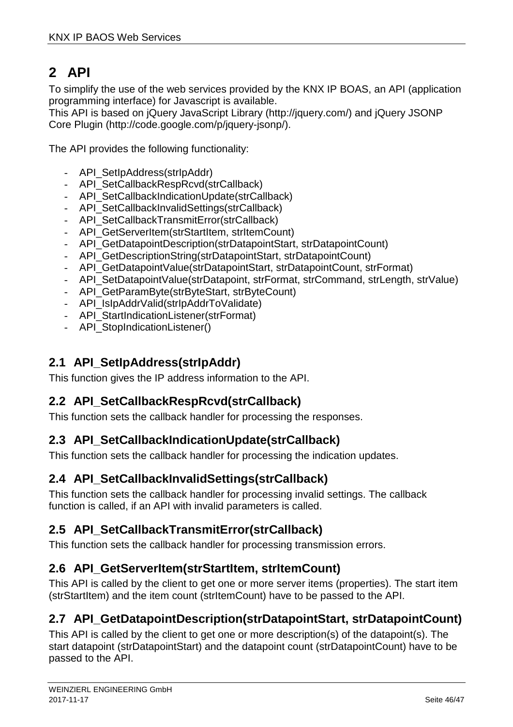# **2 API**

To simplify the use of the web services provided by the KNX IP BOAS, an API (application programming interface) for Javascript is available.

This API is based on jQuery JavaScript Library (http://jquery.com/) and jQuery JSONP Core Plugin (http://code.google.com/p/jquery-jsonp/).

The API provides the following functionality:

- API\_SetIpAddress(strIpAddr)
- API\_SetCallbackRespRcvd(strCallback)
- API\_SetCallbackIndicationUpdate(strCallback)
- API\_SetCallbackInvalidSettings(strCallback)
- API\_SetCallbackTransmitError(strCallback)
- API\_GetServerItem(strStartItem, strItemCount)
- API\_GetDatapointDescription(strDatapointStart, strDatapointCount)
- API\_GetDescriptionString(strDatapointStart, strDatapointCount)
- API\_GetDatapointValue(strDatapointStart, strDatapointCount, strFormat)
- API\_SetDatapointValue(strDatapoint, strFormat, strCommand, strLength, strValue)
- API\_GetParamByte(strByteStart, strByteCount)
- API\_IsIpAddrValid(strIpAddrToValidate)
- API\_StartIndicationListener(strFormat)
- API StopIndicationListener()

# **2.1 API\_SetIpAddress(strIpAddr)**

This function gives the IP address information to the API.

# **2.2 API\_SetCallbackRespRcvd(strCallback)**

This function sets the callback handler for processing the responses.

### **2.3 API\_SetCallbackIndicationUpdate(strCallback)**

This function sets the callback handler for processing the indication updates.

# **2.4 API\_SetCallbackInvalidSettings(strCallback)**

This function sets the callback handler for processing invalid settings. The callback function is called, if an API with invalid parameters is called.

# **2.5 API\_SetCallbackTransmitError(strCallback)**

This function sets the callback handler for processing transmission errors.

# **2.6 API\_GetServerItem(strStartItem, strItemCount)**

This API is called by the client to get one or more server items (properties). The start item (strStartItem) and the item count (strItemCount) have to be passed to the API.

# **2.7 API\_GetDatapointDescription(strDatapointStart, strDatapointCount)**

This API is called by the client to get one or more description(s) of the datapoint(s). The start datapoint (strDatapointStart) and the datapoint count (strDatapointCount) have to be passed to the API.